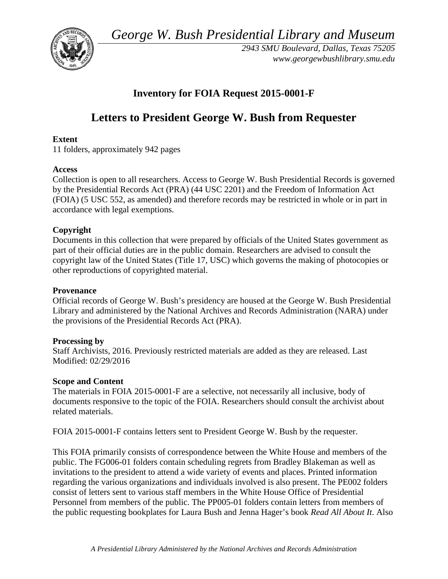*George W. Bush Presidential Library and Museum* 



 *2943 SMU Boulevard, Dallas, Texas 75205 <www.georgewbushlibrary.smu.edu>*

# **Inventory for FOIA Request 2015-0001-F**

# **Letters to President George W. Bush from Requester**

# **Extent**

11 folders, approximately 942 pages

#### **Access**

 by the Presidential Records Act (PRA) (44 USC 2201) and the Freedom of Information Act Collection is open to all researchers. Access to George W. Bush Presidential Records is governed (FOIA) (5 USC 552, as amended) and therefore records may be restricted in whole or in part in accordance with legal exemptions.

# **Copyright**

 Documents in this collection that were prepared by officials of the United States government as part of their official duties are in the public domain. Researchers are advised to consult the copyright law of the United States (Title 17, USC) which governs the making of photocopies or other reproductions of copyrighted material.

#### **Provenance**

 Official records of George W. Bush's presidency are housed at the George W. Bush Presidential Library and administered by the National Archives and Records Administration (NARA) under the provisions of the Presidential Records Act (PRA).

# **Processing by**

 Modified: 02/29/2016 Staff Archivists, 2016. Previously restricted materials are added as they are released. Last

#### **Scope and Content**

The materials in FOIA 2015-0001-F are a selective, not necessarily all inclusive, body of documents responsive to the topic of the FOIA. Researchers should consult the archivist about related materials.

FOIA 2015-0001-F contains letters sent to President George W. Bush by the requester.

 invitations to the president to attend a wide variety of events and places. Printed information the public requesting bookplates for Laura Bush and Jenna Hager's book *Read All About It*. Also This FOIA primarily consists of correspondence between the White House and members of the public. The FG006-01 folders contain scheduling regrets from Bradley Blakeman as well as regarding the various organizations and individuals involved is also present. The PE002 folders consist of letters sent to various staff members in the White House Office of Presidential Personnel from members of the public. The PP005-01 folders contain letters from members of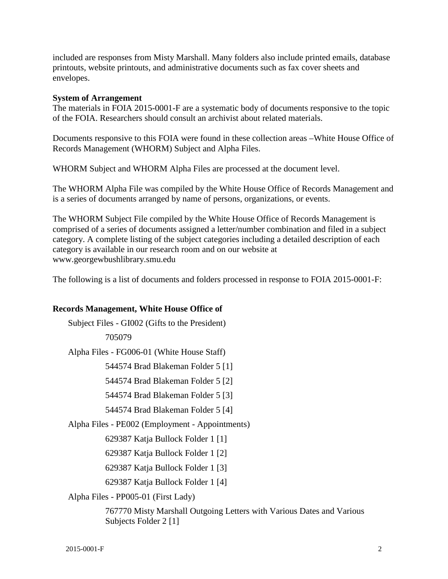included are responses from Misty Marshall. Many folders also include printed emails, database printouts, website printouts, and administrative documents such as fax cover sheets and envelopes.

#### **System of Arrangement**

The materials in FOIA 2015-0001-F are a systematic body of documents responsive to the topic of the FOIA. Researchers should consult an archivist about related materials.

 Records Management (WHORM) Subject and Alpha Files. Documents responsive to this FOIA were found in these collection areas –White House Office of

WHORM Subject and WHORM Alpha Files are processed at the document level.

The WHORM Alpha File was compiled by the White House Office of Records Management and is a series of documents arranged by name of persons, organizations, or events.

The WHORM Subject File compiled by the White House Office of Records Management is comprised of a series of documents assigned a letter/number combination and filed in a subject category. A complete listing of the subject categories including a detailed description of each category is available in our research room and on our website at <www.georgewbushlibrary.smu.edu>

The following is a list of documents and folders processed in response to FOIA 2015-0001-F:

#### **Records Management, White House Office of**

 Alpha Files - PE002 (Employment - Appointments) Subject Files - GI002 (Gifts to the President) 705079 Alpha Files - FG006-01 (White House Staff) 544574 Brad Blakeman Folder 5 [1] 544574 Brad Blakeman Folder 5 [2] 544574 Brad Blakeman Folder 5 [3] 544574 Brad Blakeman Folder 5 [4] 629387 Katja Bullock Folder 1 [1] 629387 Katja Bullock Folder 1 [2] 629387 Katja Bullock Folder 1 [3] 629387 Katja Bullock Folder 1 [4] Alpha Files - PP005-01 (First Lady)

> 767770 Misty Marshall Outgoing Letters with Various Dates and Various Subjects Folder 2 [1]